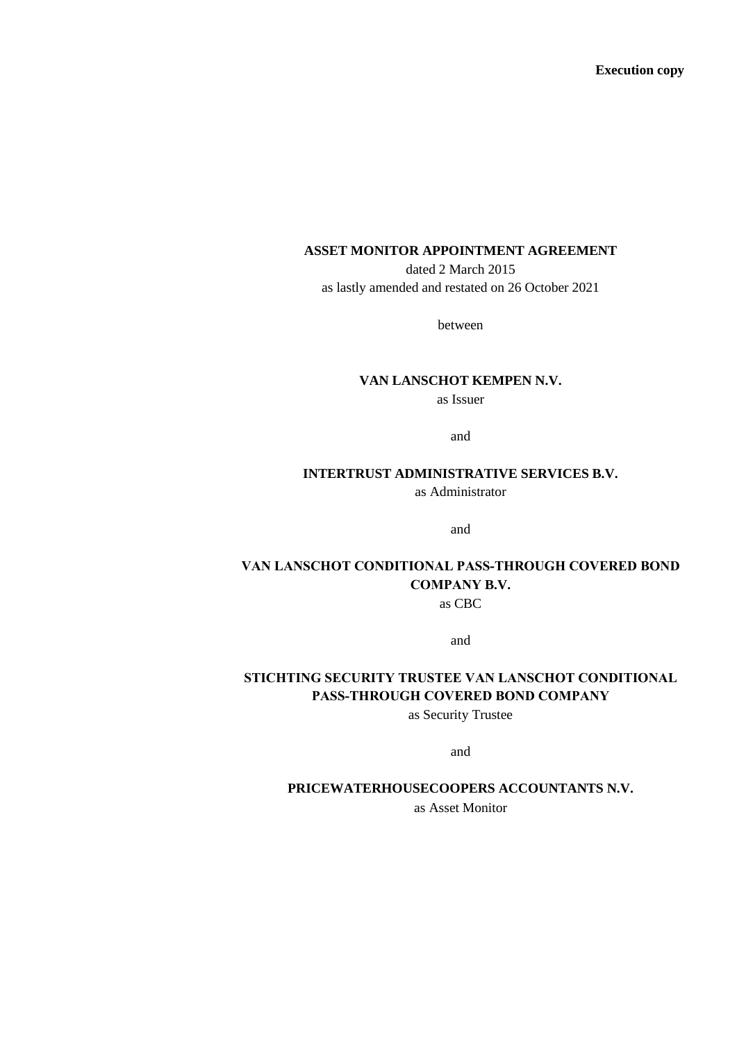**Execution copy**

# **ASSET MONITOR APPOINTMENT AGREEMENT**

dated 2 March 2015 as lastly amended and restated on 26 October 2021

between

# **VAN LANSCHOT KEMPEN N.V.**

as Issuer

and

# **INTERTRUST ADMINISTRATIVE SERVICES B.V.**

as Administrator

and

# **VAN LANSCHOT CONDITIONAL PASS-THROUGH COVERED BOND COMPANY B.V.** as CBC

and

# **STICHTING SECURITY TRUSTEE VAN LANSCHOT CONDITIONAL PASS-THROUGH COVERED BOND COMPANY**

as Security Trustee

and

### **PRICEWATERHOUSECOOPERS ACCOUNTANTS N.V.**

as Asset Monitor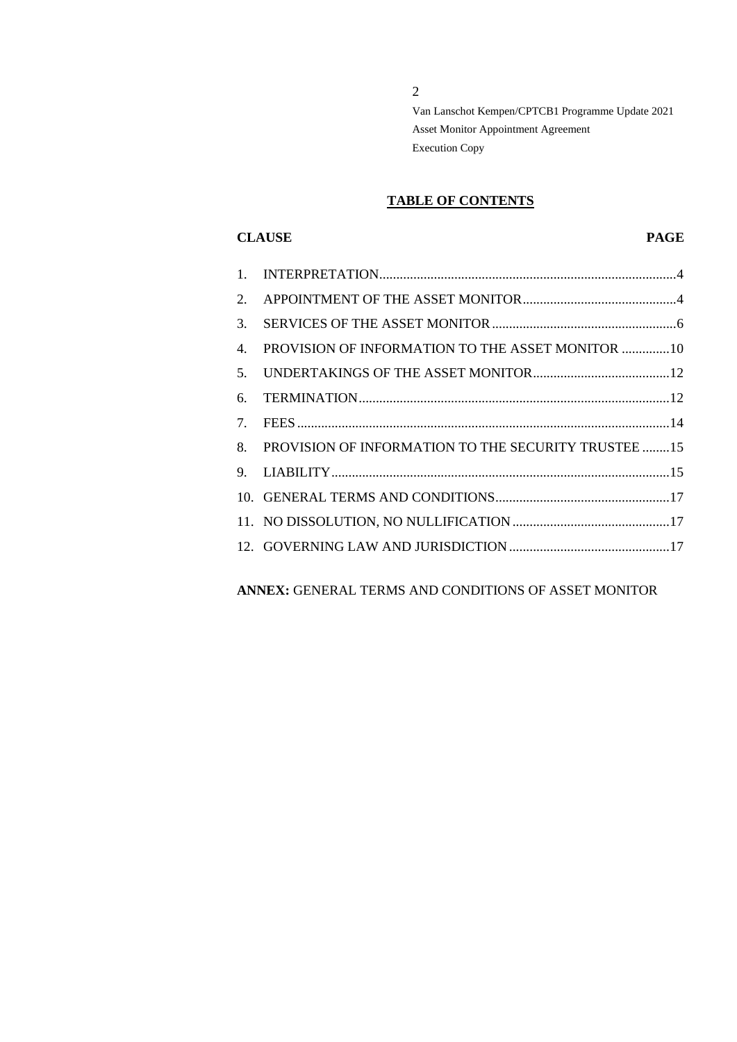2

Van Lanschot Kempen/CPTCB1 Programme Update 2021 Asset Monitor Appointment Agreement Execution Copy

# **TABLE OF CONTENTS**

# **CLAUSE PAGE**

| $\mathbf{1}$ .                  |                                                     |
|---------------------------------|-----------------------------------------------------|
| 2.                              |                                                     |
| 3.                              |                                                     |
| 4.                              | PROVISION OF INFORMATION TO THE ASSET MONITOR 10    |
| 5.                              |                                                     |
| 6.                              |                                                     |
| $7_{\scriptscriptstyle{\star}}$ |                                                     |
| 8.                              | PROVISION OF INFORMATION TO THE SECURITY TRUSTEE 15 |
| 9.                              |                                                     |
|                                 |                                                     |
|                                 |                                                     |
|                                 |                                                     |

**ANNEX:** GENERAL TERMS AND CONDITIONS OF ASSET MONITOR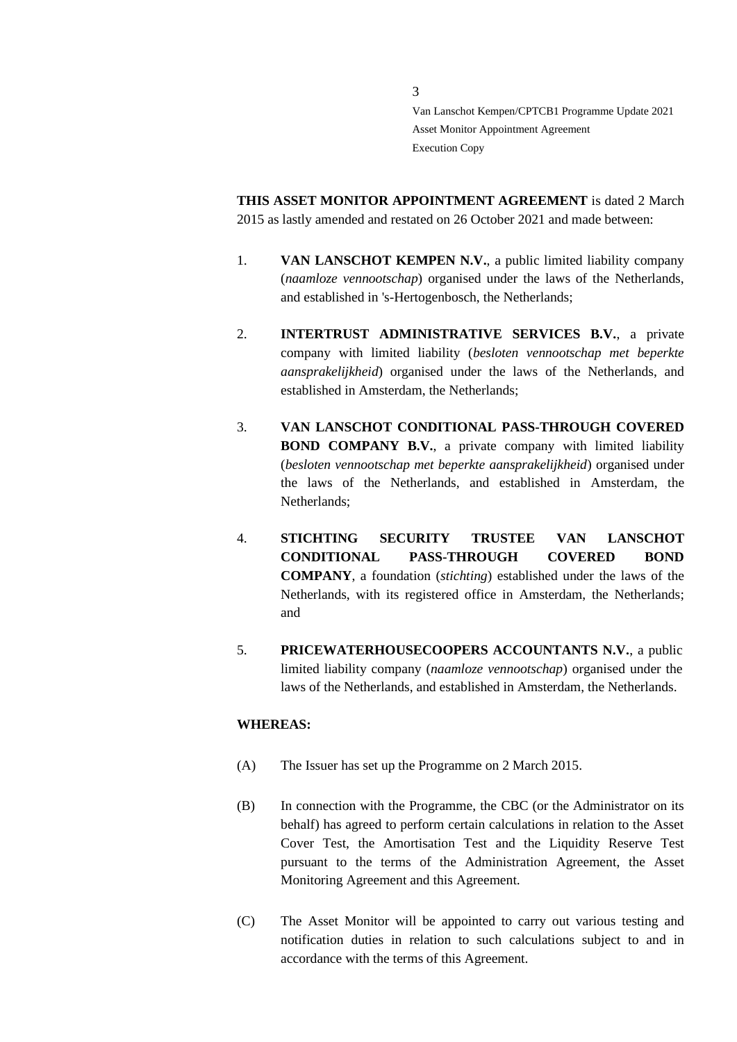**THIS ASSET MONITOR APPOINTMENT AGREEMENT** is dated 2 March 2015 as lastly amended and restated on 26 October 2021 and made between:

- 1. **VAN LANSCHOT KEMPEN N.V.**, a public limited liability company (*naamloze vennootschap*) organised under the laws of the Netherlands, and established in 's-Hertogenbosch, the Netherlands;
- 2. **INTERTRUST ADMINISTRATIVE SERVICES B.V.**, a private company with limited liability (*besloten vennootschap met beperkte aansprakelijkheid*) organised under the laws of the Netherlands, and established in Amsterdam, the Netherlands;
- 3. **VAN LANSCHOT CONDITIONAL PASS-THROUGH COVERED BOND COMPANY B.V.**, a private company with limited liability (*besloten vennootschap met beperkte aansprakelijkheid*) organised under the laws of the Netherlands, and established in Amsterdam, the Netherlands;
- 4. **STICHTING SECURITY TRUSTEE VAN LANSCHOT CONDITIONAL PASS-THROUGH COVERED BOND COMPANY**, a foundation (*stichting*) established under the laws of the Netherlands, with its registered office in Amsterdam, the Netherlands; and
- 5. **PRICEWATERHOUSECOOPERS ACCOUNTANTS N.V.**, a public limited liability company (*naamloze vennootschap*) organised under the laws of the Netherlands, and established in Amsterdam, the Netherlands.

# **WHEREAS:**

- (A) The Issuer has set up the Programme on 2 March 2015.
- (B) In connection with the Programme, the CBC (or the Administrator on its behalf) has agreed to perform certain calculations in relation to the Asset Cover Test, the Amortisation Test and the Liquidity Reserve Test pursuant to the terms of the Administration Agreement, the Asset Monitoring Agreement and this Agreement.
- (C) The Asset Monitor will be appointed to carry out various testing and notification duties in relation to such calculations subject to and in accordance with the terms of this Agreement.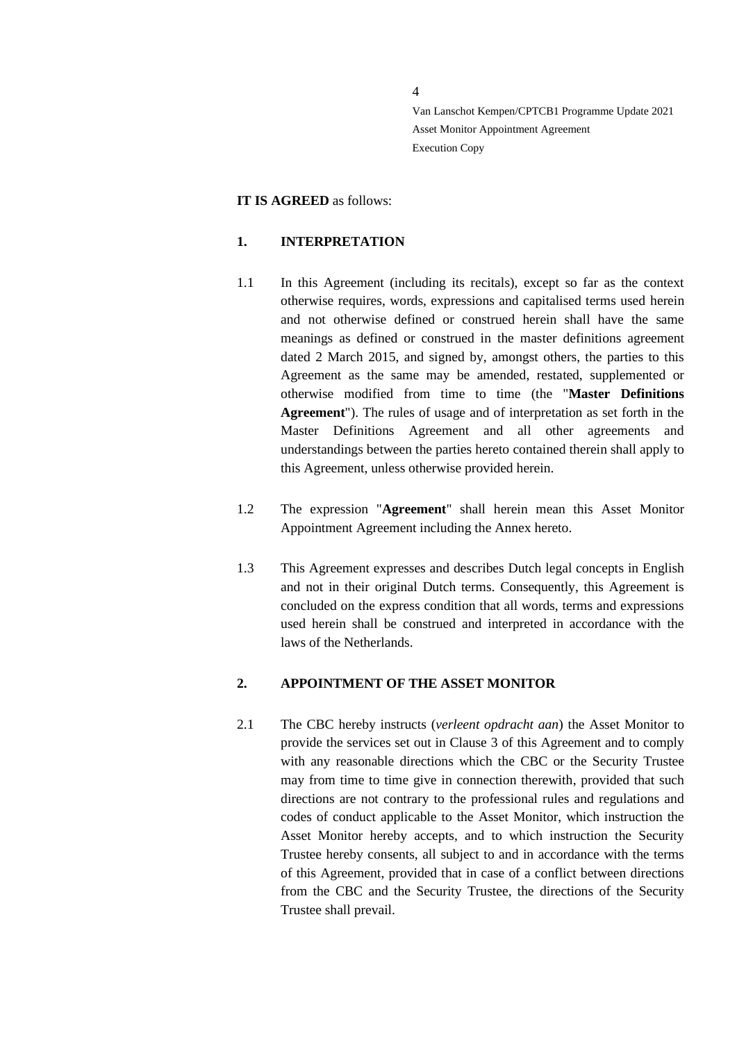4

Van Lanschot Kempen/CPTCB1 Programme Update 2021 Asset Monitor Appointment Agreement Execution Copy

## **IT IS AGREED** as follows:

# <span id="page-3-0"></span>**1. INTERPRETATION**

- 1.1 In this Agreement (including its recitals), except so far as the context otherwise requires, words, expressions and capitalised terms used herein and not otherwise defined or construed herein shall have the same meanings as defined or construed in the master definitions agreement dated 2 March 2015, and signed by, amongst others, the parties to this Agreement as the same may be amended, restated, supplemented or otherwise modified from time to time (the "**Master Definitions Agreement**"). The rules of usage and of interpretation as set forth in the Master Definitions Agreement and all other agreements and understandings between the parties hereto contained therein shall apply to this Agreement, unless otherwise provided herein.
- 1.2 The expression "**Agreement**" shall herein mean this Asset Monitor Appointment Agreement including the Annex hereto.
- 1.3 This Agreement expresses and describes Dutch legal concepts in English and not in their original Dutch terms. Consequently, this Agreement is concluded on the express condition that all words, terms and expressions used herein shall be construed and interpreted in accordance with the laws of the Netherlands.

# <span id="page-3-1"></span>**2. APPOINTMENT OF THE ASSET MONITOR**

2.1 The CBC hereby instructs (*verleent opdracht aan*) the Asset Monitor to provide the services set out in Clause 3 of this Agreement and to comply with any reasonable directions which the CBC or the Security Trustee may from time to time give in connection therewith, provided that such directions are not contrary to the professional rules and regulations and codes of conduct applicable to the Asset Monitor, which instruction the Asset Monitor hereby accepts, and to which instruction the Security Trustee hereby consents, all subject to and in accordance with the terms of this Agreement, provided that in case of a conflict between directions from the CBC and the Security Trustee, the directions of the Security Trustee shall prevail.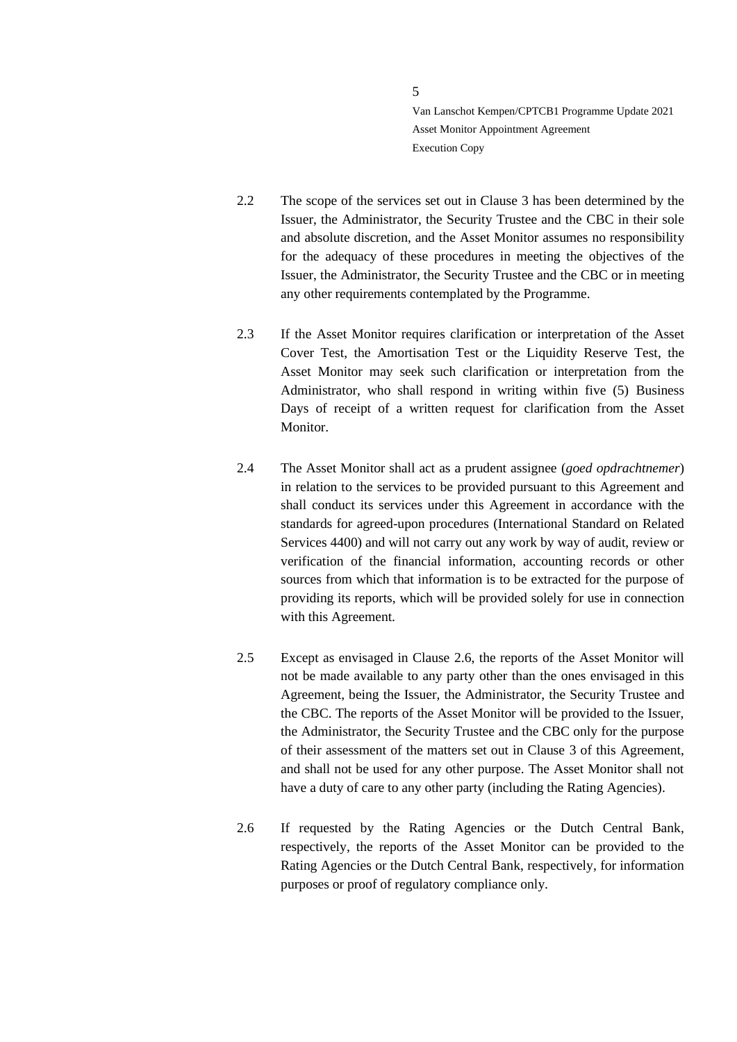- 2.2 The scope of the services set out in Clause 3 has been determined by the Issuer, the Administrator, the Security Trustee and the CBC in their sole and absolute discretion, and the Asset Monitor assumes no responsibility for the adequacy of these procedures in meeting the objectives of the Issuer, the Administrator, the Security Trustee and the CBC or in meeting any other requirements contemplated by the Programme.
- 2.3 If the Asset Monitor requires clarification or interpretation of the Asset Cover Test, the Amortisation Test or the Liquidity Reserve Test, the Asset Monitor may seek such clarification or interpretation from the Administrator, who shall respond in writing within five (5) Business Days of receipt of a written request for clarification from the Asset Monitor.
- 2.4 The Asset Monitor shall act as a prudent assignee (*goed opdrachtnemer*) in relation to the services to be provided pursuant to this Agreement and shall conduct its services under this Agreement in accordance with the standards for agreed-upon procedures (International Standard on Related Services 4400) and will not carry out any work by way of audit, review or verification of the financial information, accounting records or other sources from which that information is to be extracted for the purpose of providing its reports, which will be provided solely for use in connection with this Agreement.
- 2.5 Except as envisaged in Clause 2.6, the reports of the Asset Monitor will not be made available to any party other than the ones envisaged in this Agreement, being the Issuer, the Administrator, the Security Trustee and the CBC. The reports of the Asset Monitor will be provided to the Issuer, the Administrator, the Security Trustee and the CBC only for the purpose of their assessment of the matters set out in Clause 3 of this Agreement, and shall not be used for any other purpose. The Asset Monitor shall not have a duty of care to any other party (including the Rating Agencies).
- 2.6 If requested by the Rating Agencies or the Dutch Central Bank, respectively, the reports of the Asset Monitor can be provided to the Rating Agencies or the Dutch Central Bank, respectively, for information purposes or proof of regulatory compliance only.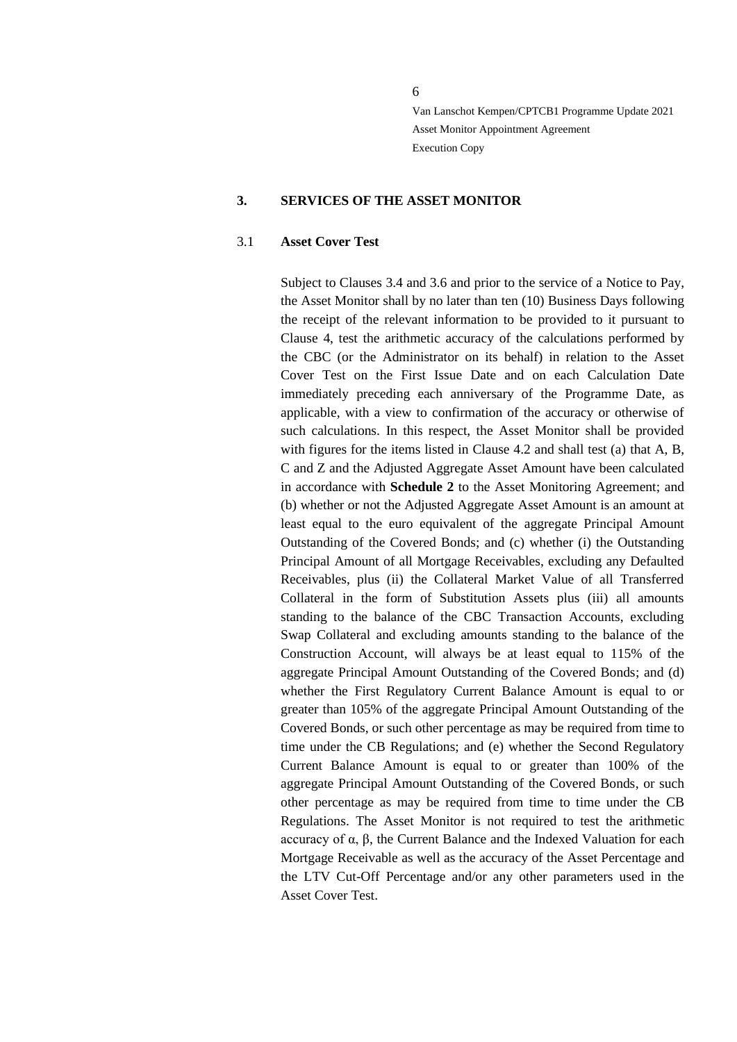#### <span id="page-5-0"></span>**3. SERVICES OF THE ASSET MONITOR**

#### 3.1 **Asset Cover Test**

Subject to Clauses 3.4 and 3.6 and prior to the service of a Notice to Pay, the Asset Monitor shall by no later than ten (10) Business Days following the receipt of the relevant information to be provided to it pursuant to Clause 4, test the arithmetic accuracy of the calculations performed by the CBC (or the Administrator on its behalf) in relation to the Asset Cover Test on the First Issue Date and on each Calculation Date immediately preceding each anniversary of the Programme Date, as applicable, with a view to confirmation of the accuracy or otherwise of such calculations. In this respect, the Asset Monitor shall be provided with figures for the items listed in Clause 4.2 and shall test (a) that A, B, C and Z and the Adjusted Aggregate Asset Amount have been calculated in accordance with **Schedule 2** to the Asset Monitoring Agreement; and (b) whether or not the Adjusted Aggregate Asset Amount is an amount at least equal to the euro equivalent of the aggregate Principal Amount Outstanding of the Covered Bonds; and (c) whether (i) the Outstanding Principal Amount of all Mortgage Receivables, excluding any Defaulted Receivables, plus (ii) the Collateral Market Value of all Transferred Collateral in the form of Substitution Assets plus (iii) all amounts standing to the balance of the CBC Transaction Accounts, excluding Swap Collateral and excluding amounts standing to the balance of the Construction Account, will always be at least equal to 115% of the aggregate Principal Amount Outstanding of the Covered Bonds; and (d) whether the First Regulatory Current Balance Amount is equal to or greater than 105% of the aggregate Principal Amount Outstanding of the Covered Bonds, or such other percentage as may be required from time to time under the CB Regulations; and (e) whether the Second Regulatory Current Balance Amount is equal to or greater than 100% of the aggregate Principal Amount Outstanding of the Covered Bonds, or such other percentage as may be required from time to time under the CB Regulations. The Asset Monitor is not required to test the arithmetic accuracy of α, β, the Current Balance and the Indexed Valuation for each Mortgage Receivable as well as the accuracy of the Asset Percentage and the LTV Cut-Off Percentage and/or any other parameters used in the Asset Cover Test.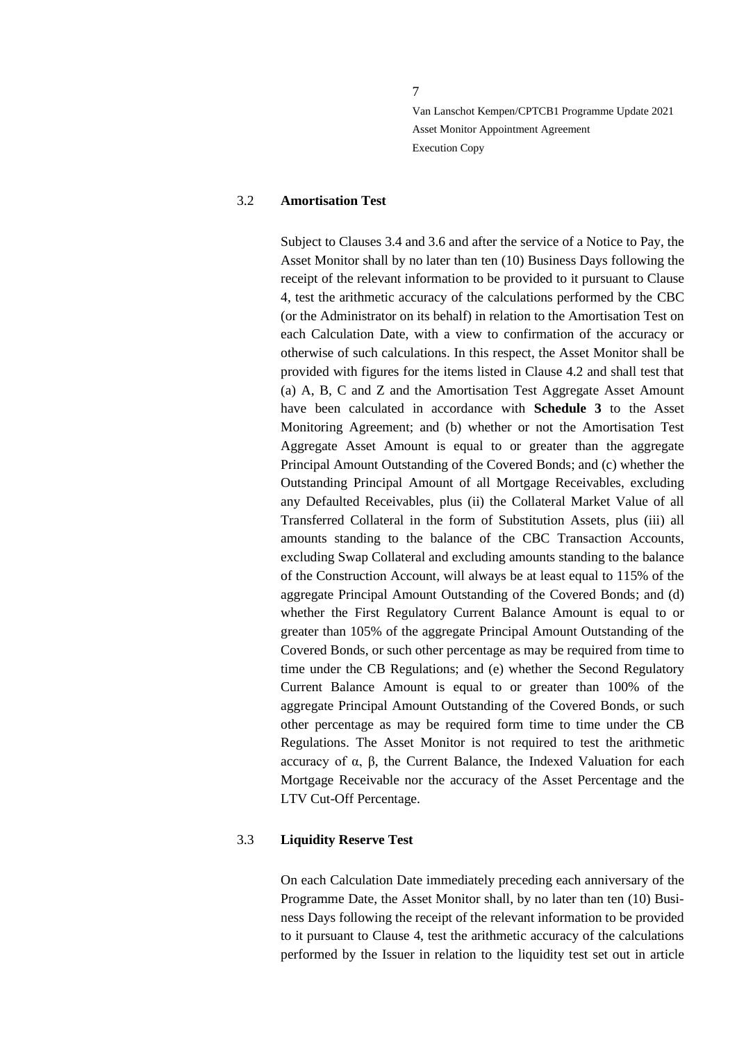7

Van Lanschot Kempen/CPTCB1 Programme Update 2021 Asset Monitor Appointment Agreement Execution Copy

### 3.2 **Amortisation Test**

Subject to Clauses 3.4 and 3.6 and after the service of a Notice to Pay, the Asset Monitor shall by no later than ten (10) Business Days following the receipt of the relevant information to be provided to it pursuant to Clause [4,](#page-9-0) test the arithmetic accuracy of the calculations performed by the CBC (or the Administrator on its behalf) in relation to the Amortisation Test on each Calculation Date, with a view to confirmation of the accuracy or otherwise of such calculations. In this respect, the Asset Monitor shall be provided with figures for the items listed in Clause 4.2 and shall test that (a) A, B, C and Z and the Amortisation Test Aggregate Asset Amount have been calculated in accordance with **Schedule 3** to the Asset Monitoring Agreement; and (b) whether or not the Amortisation Test Aggregate Asset Amount is equal to or greater than the aggregate Principal Amount Outstanding of the Covered Bonds; and (c) whether the Outstanding Principal Amount of all Mortgage Receivables, excluding any Defaulted Receivables, plus (ii) the Collateral Market Value of all Transferred Collateral in the form of Substitution Assets, plus (iii) all amounts standing to the balance of the CBC Transaction Accounts, excluding Swap Collateral and excluding amounts standing to the balance of the Construction Account, will always be at least equal to 115% of the aggregate Principal Amount Outstanding of the Covered Bonds; and (d) whether the First Regulatory Current Balance Amount is equal to or greater than 105% of the aggregate Principal Amount Outstanding of the Covered Bonds, or such other percentage as may be required from time to time under the CB Regulations; and (e) whether the Second Regulatory Current Balance Amount is equal to or greater than 100% of the aggregate Principal Amount Outstanding of the Covered Bonds, or such other percentage as may be required form time to time under the CB Regulations. The Asset Monitor is not required to test the arithmetic accuracy of α, β, the Current Balance, the Indexed Valuation for each Mortgage Receivable nor the accuracy of the Asset Percentage and the LTV Cut-Off Percentage.

#### 3.3 **Liquidity Reserve Test**

On each Calculation Date immediately preceding each anniversary of the Programme Date, the Asset Monitor shall, by no later than ten (10) Business Days following the receipt of the relevant information to be provided to it pursuant to Clause 4, test the arithmetic accuracy of the calculations performed by the Issuer in relation to the liquidity test set out in article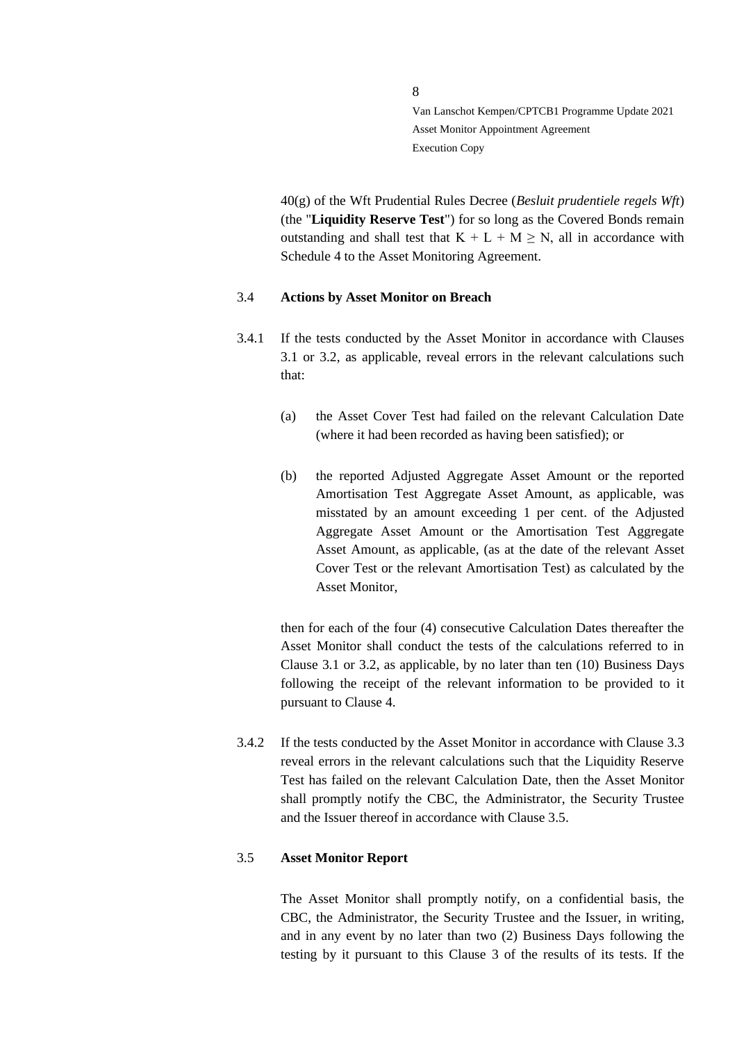40(g) of the Wft Prudential Rules Decree (*Besluit prudentiele regels Wft*) (the "**Liquidity Reserve Test**") for so long as the Covered Bonds remain outstanding and shall test that  $K + L + M \ge N$ , all in accordance with Schedule 4 to the Asset Monitoring Agreement.

#### 3.4 **Actions by Asset Monitor on Breach**

- 3.4.1 If the tests conducted by the Asset Monitor in accordance with Clauses 3.1 or 3.2, as applicable, reveal errors in the relevant calculations such that:
	- (a) the Asset Cover Test had failed on the relevant Calculation Date (where it had been recorded as having been satisfied); or
	- (b) the reported Adjusted Aggregate Asset Amount or the reported Amortisation Test Aggregate Asset Amount, as applicable, was misstated by an amount exceeding 1 per cent. of the Adjusted Aggregate Asset Amount or the Amortisation Test Aggregate Asset Amount, as applicable, (as at the date of the relevant Asset Cover Test or the relevant Amortisation Test) as calculated by the Asset Monitor,

then for each of the four (4) consecutive Calculation Dates thereafter the Asset Monitor shall conduct the tests of the calculations referred to in Clause 3.1 or 3.2, as applicable, by no later than ten (10) Business Days following the receipt of the relevant information to be provided to it pursuant to Clause [4.](#page-9-0)

3.4.2 If the tests conducted by the Asset Monitor in accordance with Clause 3.3 reveal errors in the relevant calculations such that the Liquidity Reserve Test has failed on the relevant Calculation Date, then the Asset Monitor shall promptly notify the CBC, the Administrator, the Security Trustee and the Issuer thereof in accordance with Clause 3.5.

## 3.5 **Asset Monitor Report**

The Asset Monitor shall promptly notify, on a confidential basis, the CBC, the Administrator, the Security Trustee and the Issuer, in writing, and in any event by no later than two (2) Business Days following the testing by it pursuant to this Clause 3 of the results of its tests. If the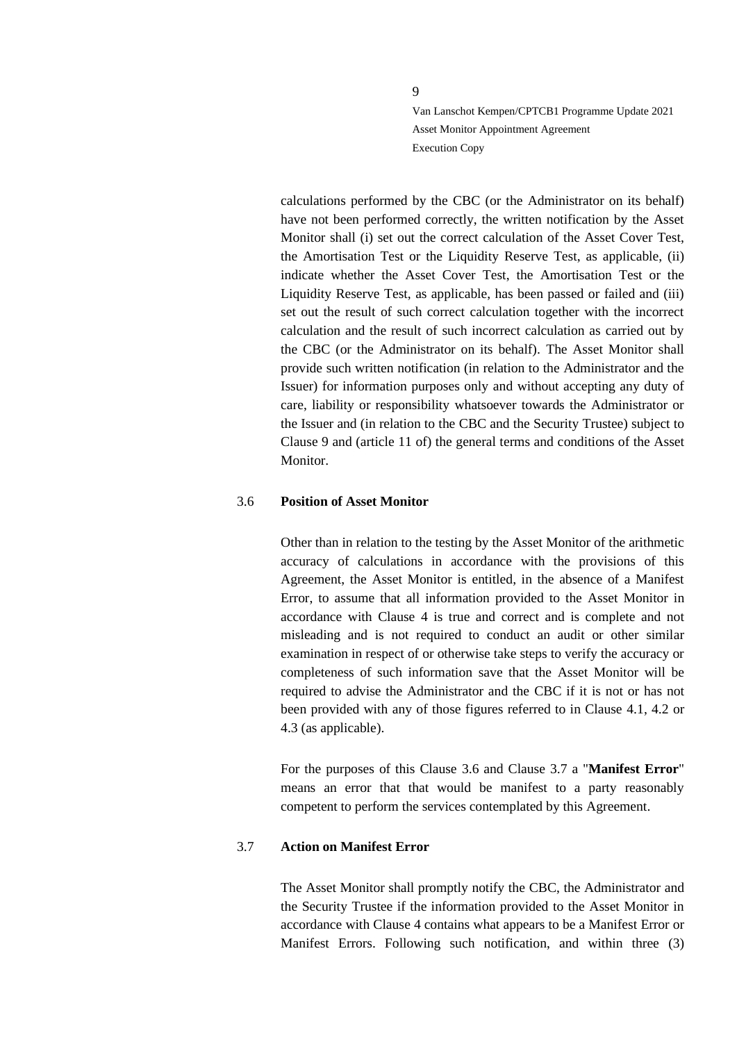calculations performed by the CBC (or the Administrator on its behalf) have not been performed correctly, the written notification by the Asset Monitor shall (i) set out the correct calculation of the Asset Cover Test, the Amortisation Test or the Liquidity Reserve Test, as applicable, (ii) indicate whether the Asset Cover Test, the Amortisation Test or the Liquidity Reserve Test, as applicable, has been passed or failed and (iii) set out the result of such correct calculation together with the incorrect calculation and the result of such incorrect calculation as carried out by the CBC (or the Administrator on its behalf). The Asset Monitor shall provide such written notification (in relation to the Administrator and the Issuer) for information purposes only and without accepting any duty of care, liability or responsibility whatsoever towards the Administrator or the Issuer and (in relation to the CBC and the Security Trustee) subject to Clause 9 and (article 11 of) the general terms and conditions of the Asset Monitor.

## 3.6 **Position of Asset Monitor**

Other than in relation to the testing by the Asset Monitor of the arithmetic accuracy of calculations in accordance with the provisions of this Agreement, the Asset Monitor is entitled, in the absence of a Manifest Error, to assume that all information provided to the Asset Monitor in accordance with Clause [4](#page-9-0) is true and correct and is complete and not misleading and is not required to conduct an audit or other similar examination in respect of or otherwise take steps to verify the accuracy or completeness of such information save that the Asset Monitor will be required to advise the Administrator and the CBC if it is not or has not been provided with any of those figures referred to in Clause 4.1, 4.2 or 4.3 (as applicable).

For the purposes of this Clause 3.6 and Clause 3.7 a "**Manifest Error**" means an error that that would be manifest to a party reasonably competent to perform the services contemplated by this Agreement.

### 3.7 **Action on Manifest Error**

The Asset Monitor shall promptly notify the CBC, the Administrator and the Security Trustee if the information provided to the Asset Monitor in accordance with Clause 4 contains what appears to be a Manifest Error or Manifest Errors. Following such notification, and within three (3)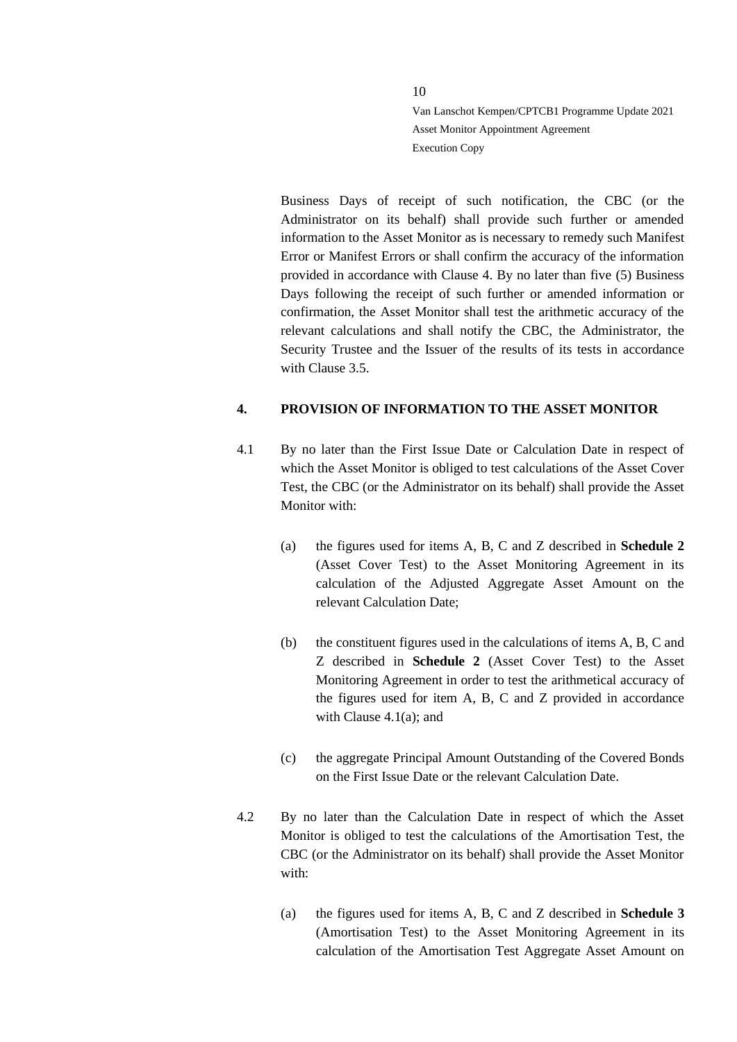Business Days of receipt of such notification, the CBC (or the Administrator on its behalf) shall provide such further or amended information to the Asset Monitor as is necessary to remedy such Manifest Error or Manifest Errors or shall confirm the accuracy of the information provided in accordance with Clause 4. By no later than five (5) Business Days following the receipt of such further or amended information or confirmation, the Asset Monitor shall test the arithmetic accuracy of the relevant calculations and shall notify the CBC, the Administrator, the Security Trustee and the Issuer of the results of its tests in accordance with Clause 3.5.

# <span id="page-9-0"></span>**4. PROVISION OF INFORMATION TO THE ASSET MONITOR**

- 4.1 By no later than the First Issue Date or Calculation Date in respect of which the Asset Monitor is obliged to test calculations of the Asset Cover Test, the CBC (or the Administrator on its behalf) shall provide the Asset Monitor with:
	- (a) the figures used for items A, B, C and Z described in **Schedule 2** (Asset Cover Test) to the Asset Monitoring Agreement in its calculation of the Adjusted Aggregate Asset Amount on the relevant Calculation Date;
	- (b) the constituent figures used in the calculations of items A, B, C and Z described in **Schedule 2** (Asset Cover Test) to the Asset Monitoring Agreement in order to test the arithmetical accuracy of the figures used for item A, B, C and Z provided in accordance with Clause 4.1(a); and
	- (c) the aggregate Principal Amount Outstanding of the Covered Bonds on the First Issue Date or the relevant Calculation Date.
- 4.2 By no later than the Calculation Date in respect of which the Asset Monitor is obliged to test the calculations of the Amortisation Test, the CBC (or the Administrator on its behalf) shall provide the Asset Monitor with:
	- (a) the figures used for items A, B, C and Z described in **Schedule 3** (Amortisation Test) to the Asset Monitoring Agreement in its calculation of the Amortisation Test Aggregate Asset Amount on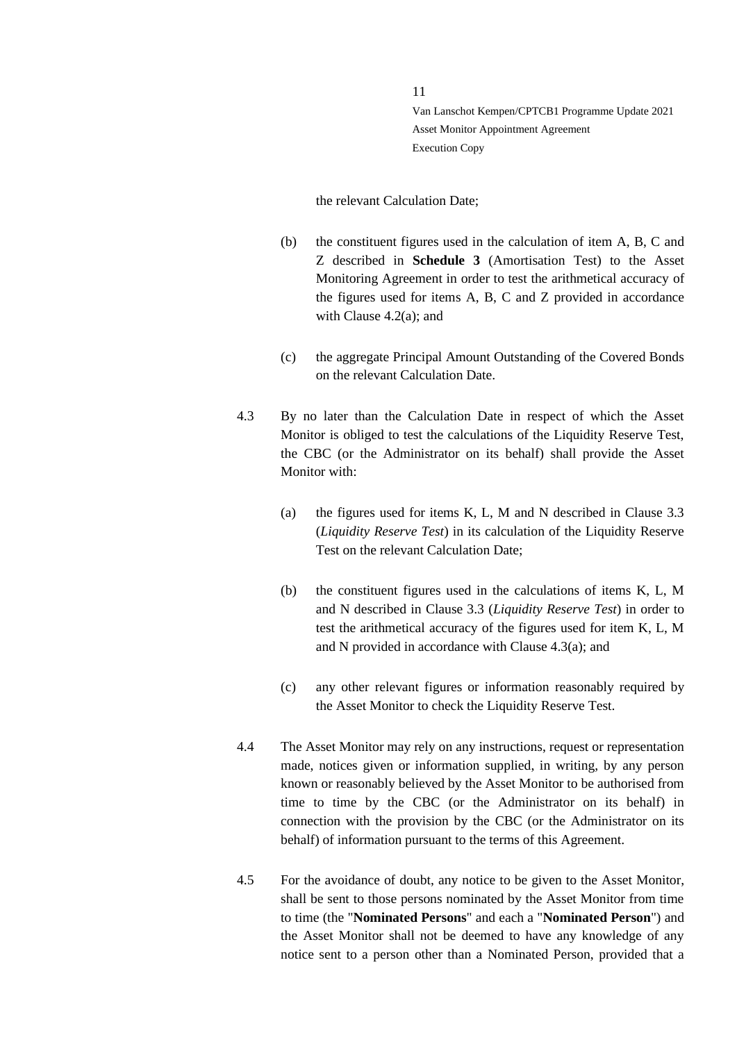#### the relevant Calculation Date;

- (b) the constituent figures used in the calculation of item A, B, C and Z described in **Schedule 3** (Amortisation Test) to the Asset Monitoring Agreement in order to test the arithmetical accuracy of the figures used for items A, B, C and Z provided in accordance with Clause 4.2(a); and
- (c) the aggregate Principal Amount Outstanding of the Covered Bonds on the relevant Calculation Date.
- 4.3 By no later than the Calculation Date in respect of which the Asset Monitor is obliged to test the calculations of the Liquidity Reserve Test. the CBC (or the Administrator on its behalf) shall provide the Asset Monitor with:
	- (a) the figures used for items K, L, M and N described in Clause 3.3 (*Liquidity Reserve Test*) in its calculation of the Liquidity Reserve Test on the relevant Calculation Date;
	- (b) the constituent figures used in the calculations of items K, L, M and N described in Clause 3.3 (*Liquidity Reserve Test*) in order to test the arithmetical accuracy of the figures used for item K, L, M and N provided in accordance with Clause 4.3(a); and
	- (c) any other relevant figures or information reasonably required by the Asset Monitor to check the Liquidity Reserve Test.
- 4.4 The Asset Monitor may rely on any instructions, request or representation made, notices given or information supplied, in writing, by any person known or reasonably believed by the Asset Monitor to be authorised from time to time by the CBC (or the Administrator on its behalf) in connection with the provision by the CBC (or the Administrator on its behalf) of information pursuant to the terms of this Agreement.
- 4.5 For the avoidance of doubt, any notice to be given to the Asset Monitor, shall be sent to those persons nominated by the Asset Monitor from time to time (the "**Nominated Persons**" and each a "**Nominated Person**") and the Asset Monitor shall not be deemed to have any knowledge of any notice sent to a person other than a Nominated Person, provided that a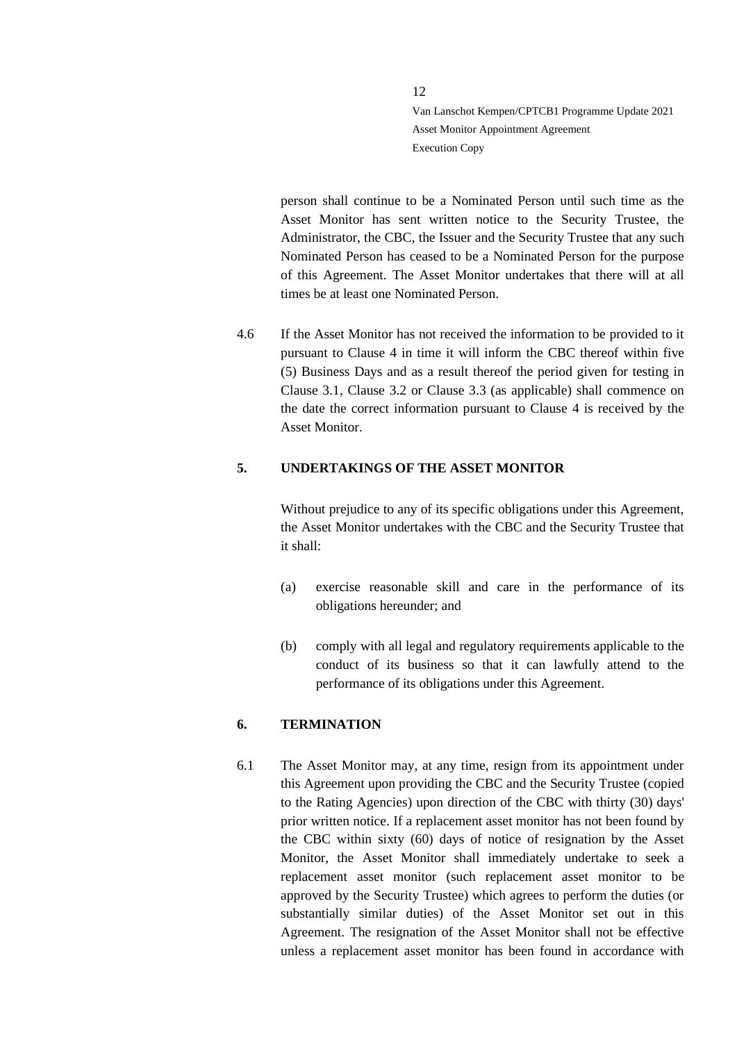person shall continue to be a Nominated Person until such time as the Asset Monitor has sent written notice to the Security Trustee, the Administrator, the CBC, the Issuer and the Security Trustee that any such Nominated Person has ceased to be a Nominated Person for the purpose of this Agreement. The Asset Monitor undertakes that there will at all times be at least one Nominated Person.

4.6 If the Asset Monitor has not received the information to be provided to it pursuant to Clause 4 in time it will inform the CBC thereof within five (5) Business Days and as a result thereof the period given for testing in Clause 3.1, Clause 3.2 or Clause 3.3 (as applicable) shall commence on the date the correct information pursuant to Clause 4 is received by the Asset Monitor.

## <span id="page-11-0"></span>**5. UNDERTAKINGS OF THE ASSET MONITOR**

Without prejudice to any of its specific obligations under this Agreement, the Asset Monitor undertakes with the CBC and the Security Trustee that it shall:

- (a) exercise reasonable skill and care in the performance of its obligations hereunder; and
- (b) comply with all legal and regulatory requirements applicable to the conduct of its business so that it can lawfully attend to the performance of its obligations under this Agreement.

# <span id="page-11-1"></span>**6. TERMINATION**

6.1 The Asset Monitor may, at any time, resign from its appointment under this Agreement upon providing the CBC and the Security Trustee (copied to the Rating Agencies) upon direction of the CBC with thirty (30) days' prior written notice. If a replacement asset monitor has not been found by the CBC within sixty (60) days of notice of resignation by the Asset Monitor, the Asset Monitor shall immediately undertake to seek a replacement asset monitor (such replacement asset monitor to be approved by the Security Trustee) which agrees to perform the duties (or substantially similar duties) of the Asset Monitor set out in this Agreement. The resignation of the Asset Monitor shall not be effective unless a replacement asset monitor has been found in accordance with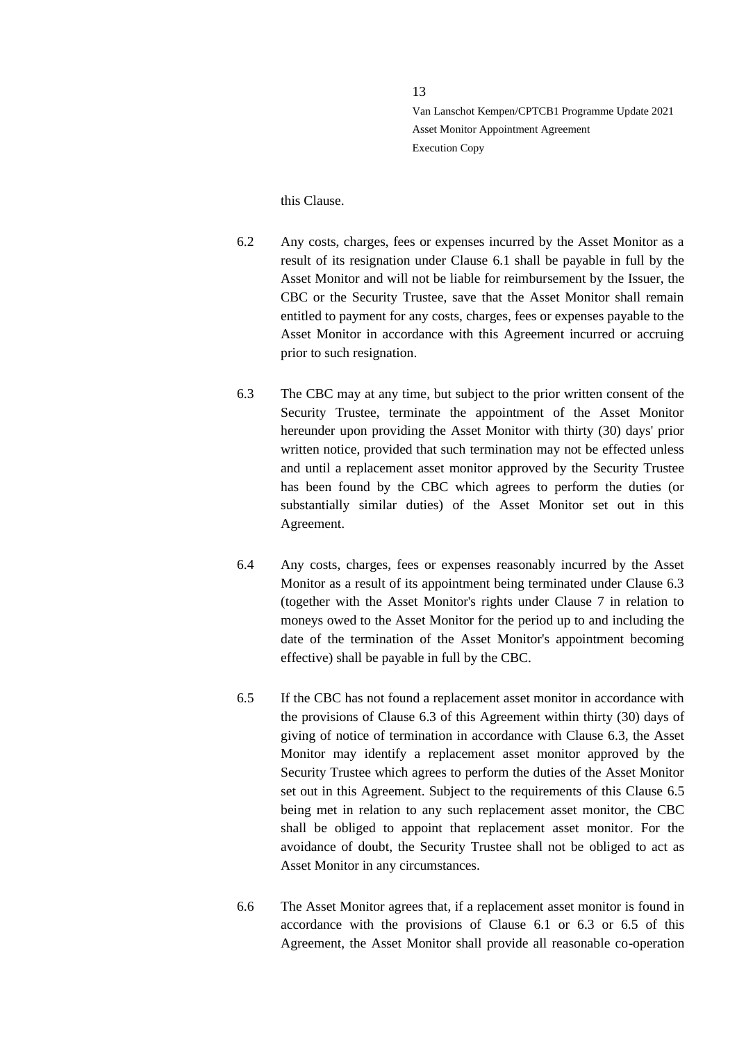this Clause.

- 6.2 Any costs, charges, fees or expenses incurred by the Asset Monitor as a result of its resignation under Clause 6.1 shall be payable in full by the Asset Monitor and will not be liable for reimbursement by the Issuer, the CBC or the Security Trustee, save that the Asset Monitor shall remain entitled to payment for any costs, charges, fees or expenses payable to the Asset Monitor in accordance with this Agreement incurred or accruing prior to such resignation.
- 6.3 The CBC may at any time, but subject to the prior written consent of the Security Trustee, terminate the appointment of the Asset Monitor hereunder upon providing the Asset Monitor with thirty (30) days' prior written notice, provided that such termination may not be effected unless and until a replacement asset monitor approved by the Security Trustee has been found by the CBC which agrees to perform the duties (or substantially similar duties) of the Asset Monitor set out in this Agreement.
- 6.4 Any costs, charges, fees or expenses reasonably incurred by the Asset Monitor as a result of its appointment being terminated under Clause 6.3 (together with the Asset Monitor's rights under Clause 7 in relation to moneys owed to the Asset Monitor for the period up to and including the date of the termination of the Asset Monitor's appointment becoming effective) shall be payable in full by the CBC.
- 6.5 If the CBC has not found a replacement asset monitor in accordance with the provisions of Clause 6.3 of this Agreement within thirty (30) days of giving of notice of termination in accordance with Clause 6.3, the Asset Monitor may identify a replacement asset monitor approved by the Security Trustee which agrees to perform the duties of the Asset Monitor set out in this Agreement. Subject to the requirements of this Clause 6.5 being met in relation to any such replacement asset monitor, the CBC shall be obliged to appoint that replacement asset monitor. For the avoidance of doubt, the Security Trustee shall not be obliged to act as Asset Monitor in any circumstances.
- 6.6 The Asset Monitor agrees that, if a replacement asset monitor is found in accordance with the provisions of Clause 6.1 or 6.3 or 6.5 of this Agreement, the Asset Monitor shall provide all reasonable co-operation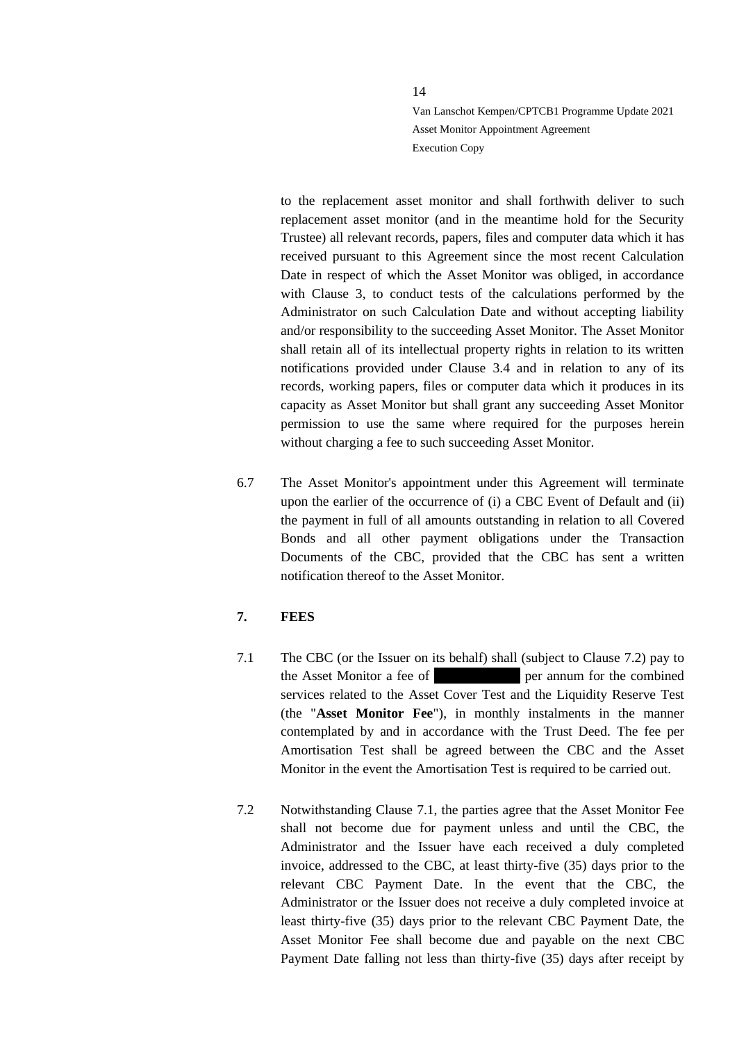to the replacement asset monitor and shall forthwith deliver to such replacement asset monitor (and in the meantime hold for the Security Trustee) all relevant records, papers, files and computer data which it has received pursuant to this Agreement since the most recent Calculation Date in respect of which the Asset Monitor was obliged, in accordance with Clause 3, to conduct tests of the calculations performed by the Administrator on such Calculation Date and without accepting liability and/or responsibility to the succeeding Asset Monitor. The Asset Monitor shall retain all of its intellectual property rights in relation to its written notifications provided under Clause 3.4 and in relation to any of its records, working papers, files or computer data which it produces in its capacity as Asset Monitor but shall grant any succeeding Asset Monitor permission to use the same where required for the purposes herein without charging a fee to such succeeding Asset Monitor.

6.7 The Asset Monitor's appointment under this Agreement will terminate upon the earlier of the occurrence of (i) a CBC Event of Default and (ii) the payment in full of all amounts outstanding in relation to all Covered Bonds and all other payment obligations under the Transaction Documents of the CBC, provided that the CBC has sent a written notification thereof to the Asset Monitor.

# <span id="page-13-0"></span>**7. FEES**

- 7.1 The CBC (or the Issuer on its behalf) shall (subject to Clause [7.2\)](#page-13-1) pay to the Asset Monitor a fee of european per annum for the combined services related to the Asset Cover Test and the Liquidity Reserve Test (the "**Asset Monitor Fee**"), in monthly instalments in the manner contemplated by and in accordance with the Trust Deed. The fee per Amortisation Test shall be agreed between the CBC and the Asset Monitor in the event the Amortisation Test is required to be carried out.
- <span id="page-13-1"></span>7.2 Notwithstanding Clause 7.1, the parties agree that the Asset Monitor Fee shall not become due for payment unless and until the CBC, the Administrator and the Issuer have each received a duly completed invoice, addressed to the CBC, at least thirty-five (35) days prior to the relevant CBC Payment Date. In the event that the CBC, the Administrator or the Issuer does not receive a duly completed invoice at least thirty-five (35) days prior to the relevant CBC Payment Date, the Asset Monitor Fee shall become due and payable on the next CBC Payment Date falling not less than thirty-five (35) days after receipt by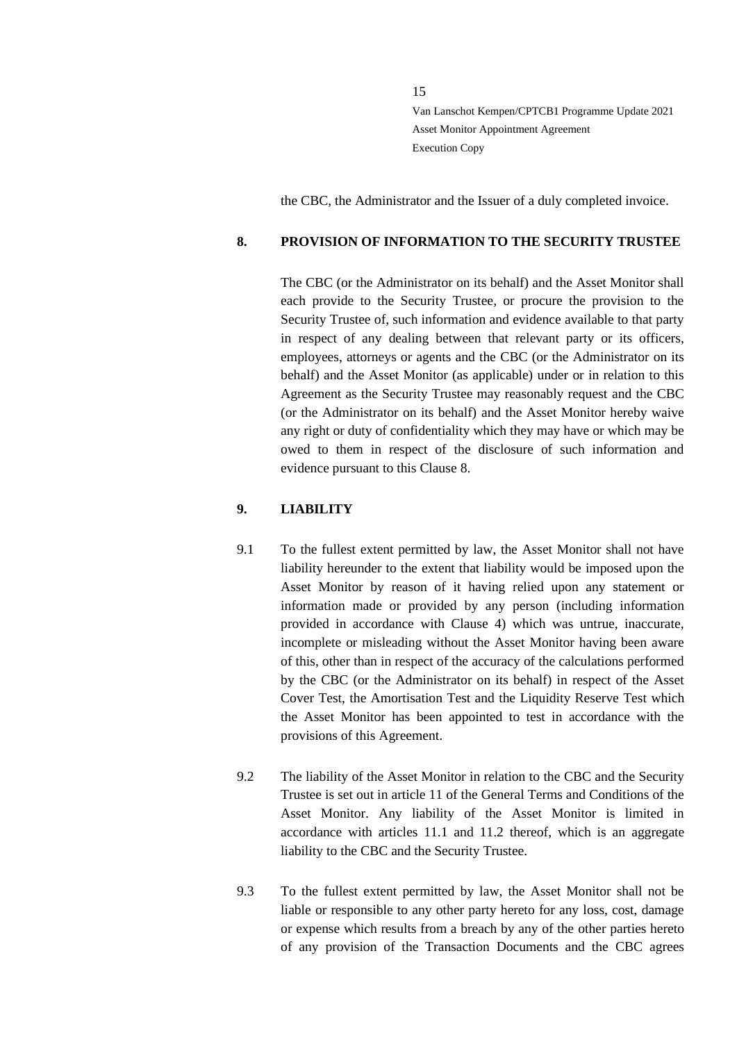the CBC, the Administrator and the Issuer of a duly completed invoice.

# <span id="page-14-0"></span>**8. PROVISION OF INFORMATION TO THE SECURITY TRUSTEE**

The CBC (or the Administrator on its behalf) and the Asset Monitor shall each provide to the Security Trustee, or procure the provision to the Security Trustee of, such information and evidence available to that party in respect of any dealing between that relevant party or its officers, employees, attorneys or agents and the CBC (or the Administrator on its behalf) and the Asset Monitor (as applicable) under or in relation to this Agreement as the Security Trustee may reasonably request and the CBC (or the Administrator on its behalf) and the Asset Monitor hereby waive any right or duty of confidentiality which they may have or which may be owed to them in respect of the disclosure of such information and evidence pursuant to this Clause 8.

# <span id="page-14-1"></span>**9. LIABILITY**

- 9.1 To the fullest extent permitted by law, the Asset Monitor shall not have liability hereunder to the extent that liability would be imposed upon the Asset Monitor by reason of it having relied upon any statement or information made or provided by any person (including information provided in accordance with Clause 4) which was untrue, inaccurate, incomplete or misleading without the Asset Monitor having been aware of this, other than in respect of the accuracy of the calculations performed by the CBC (or the Administrator on its behalf) in respect of the Asset Cover Test, the Amortisation Test and the Liquidity Reserve Test which the Asset Monitor has been appointed to test in accordance with the provisions of this Agreement.
- 9.2 The liability of the Asset Monitor in relation to the CBC and the Security Trustee is set out in article 11 of the General Terms and Conditions of the Asset Monitor. Any liability of the Asset Monitor is limited in accordance with articles 11.1 and 11.2 thereof, which is an aggregate liability to the CBC and the Security Trustee.
- 9.3 To the fullest extent permitted by law, the Asset Monitor shall not be liable or responsible to any other party hereto for any loss, cost, damage or expense which results from a breach by any of the other parties hereto of any provision of the Transaction Documents and the CBC agrees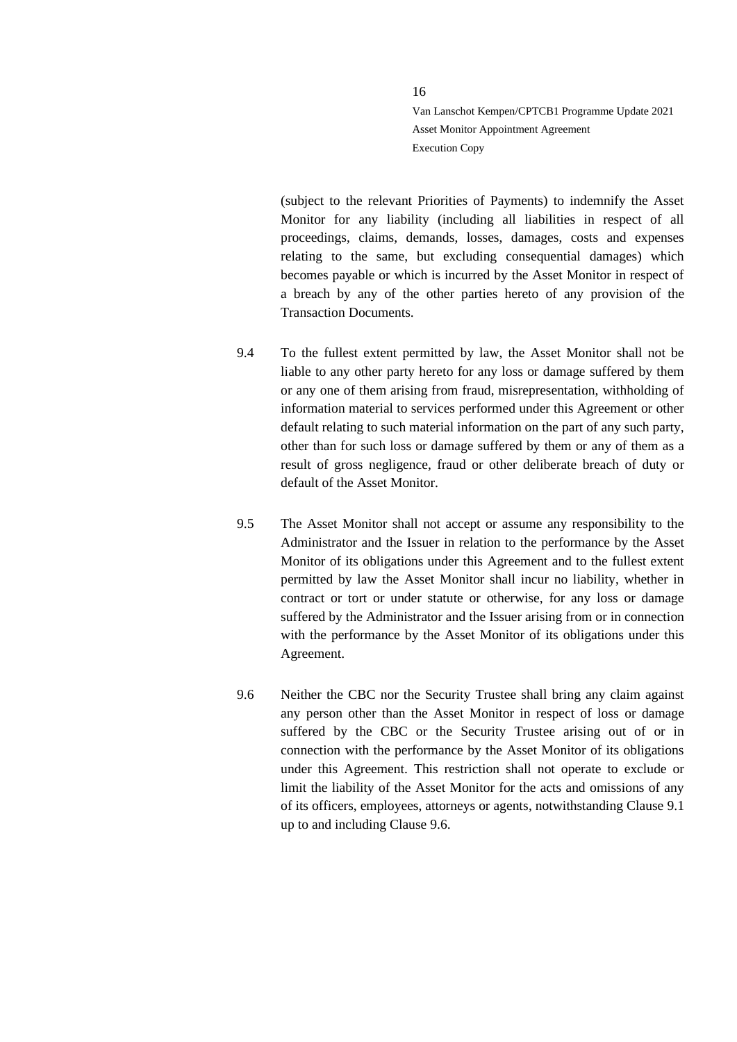(subject to the relevant Priorities of Payments) to indemnify the Asset Monitor for any liability (including all liabilities in respect of all proceedings, claims, demands, losses, damages, costs and expenses relating to the same, but excluding consequential damages) which becomes payable or which is incurred by the Asset Monitor in respect of a breach by any of the other parties hereto of any provision of the Transaction Documents.

- 9.4 To the fullest extent permitted by law, the Asset Monitor shall not be liable to any other party hereto for any loss or damage suffered by them or any one of them arising from fraud, misrepresentation, withholding of information material to services performed under this Agreement or other default relating to such material information on the part of any such party, other than for such loss or damage suffered by them or any of them as a result of gross negligence, fraud or other deliberate breach of duty or default of the Asset Monitor.
- 9.5 The Asset Monitor shall not accept or assume any responsibility to the Administrator and the Issuer in relation to the performance by the Asset Monitor of its obligations under this Agreement and to the fullest extent permitted by law the Asset Monitor shall incur no liability, whether in contract or tort or under statute or otherwise, for any loss or damage suffered by the Administrator and the Issuer arising from or in connection with the performance by the Asset Monitor of its obligations under this Agreement.
- 9.6 Neither the CBC nor the Security Trustee shall bring any claim against any person other than the Asset Monitor in respect of loss or damage suffered by the CBC or the Security Trustee arising out of or in connection with the performance by the Asset Monitor of its obligations under this Agreement. This restriction shall not operate to exclude or limit the liability of the Asset Monitor for the acts and omissions of any of its officers, employees, attorneys or agents, notwithstanding Clause 9.1 up to and including Clause 9.6.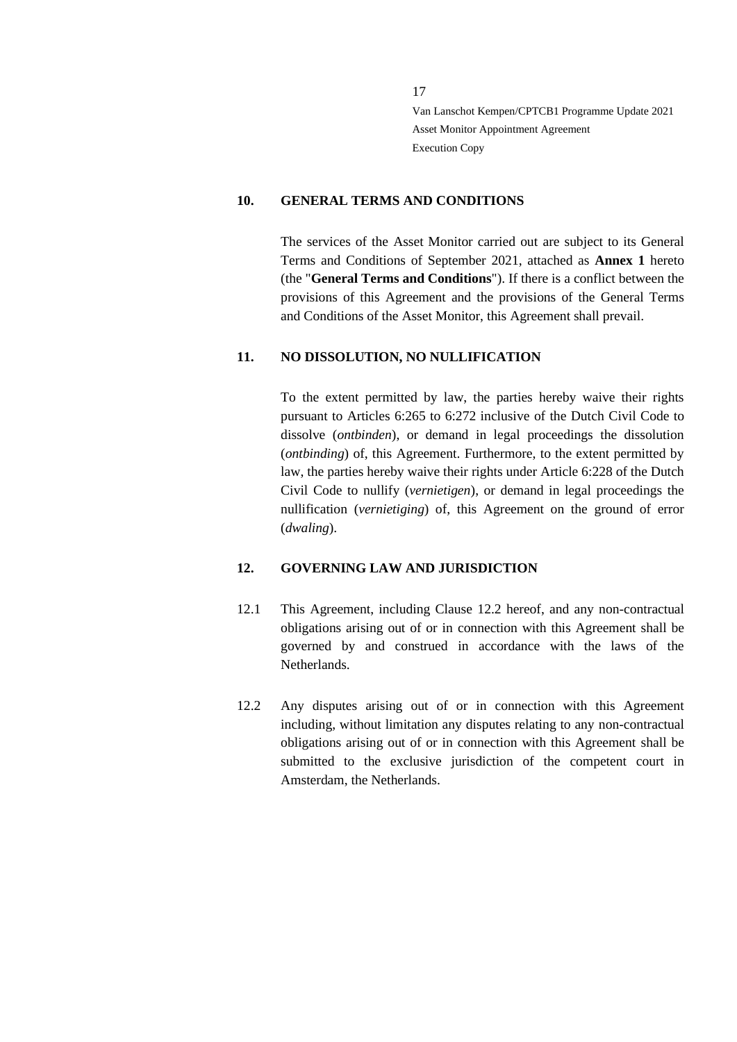#### <span id="page-16-0"></span>**10. GENERAL TERMS AND CONDITIONS**

The services of the Asset Monitor carried out are subject to its General Terms and Conditions of September 2021, attached as **Annex 1** hereto (the "**General Terms and Conditions**"). If there is a conflict between the provisions of this Agreement and the provisions of the General Terms and Conditions of the Asset Monitor, this Agreement shall prevail.

## <span id="page-16-1"></span>**11. NO DISSOLUTION, NO NULLIFICATION**

To the extent permitted by law, the parties hereby waive their rights pursuant to Articles 6:265 to 6:272 inclusive of the Dutch Civil Code to dissolve (*ontbinden*), or demand in legal proceedings the dissolution (*ontbinding*) of, this Agreement. Furthermore, to the extent permitted by law, the parties hereby waive their rights under Article 6:228 of the Dutch Civil Code to nullify (*vernietigen*), or demand in legal proceedings the nullification (*vernietiging*) of, this Agreement on the ground of error (*dwaling*).

## <span id="page-16-2"></span>**12. GOVERNING LAW AND JURISDICTION**

- 12.1 This Agreement, including Clause 12.2 hereof, and any non-contractual obligations arising out of or in connection with this Agreement shall be governed by and construed in accordance with the laws of the Netherlands.
- 12.2 Any disputes arising out of or in connection with this Agreement including, without limitation any disputes relating to any non-contractual obligations arising out of or in connection with this Agreement shall be submitted to the exclusive jurisdiction of the competent court in Amsterdam, the Netherlands.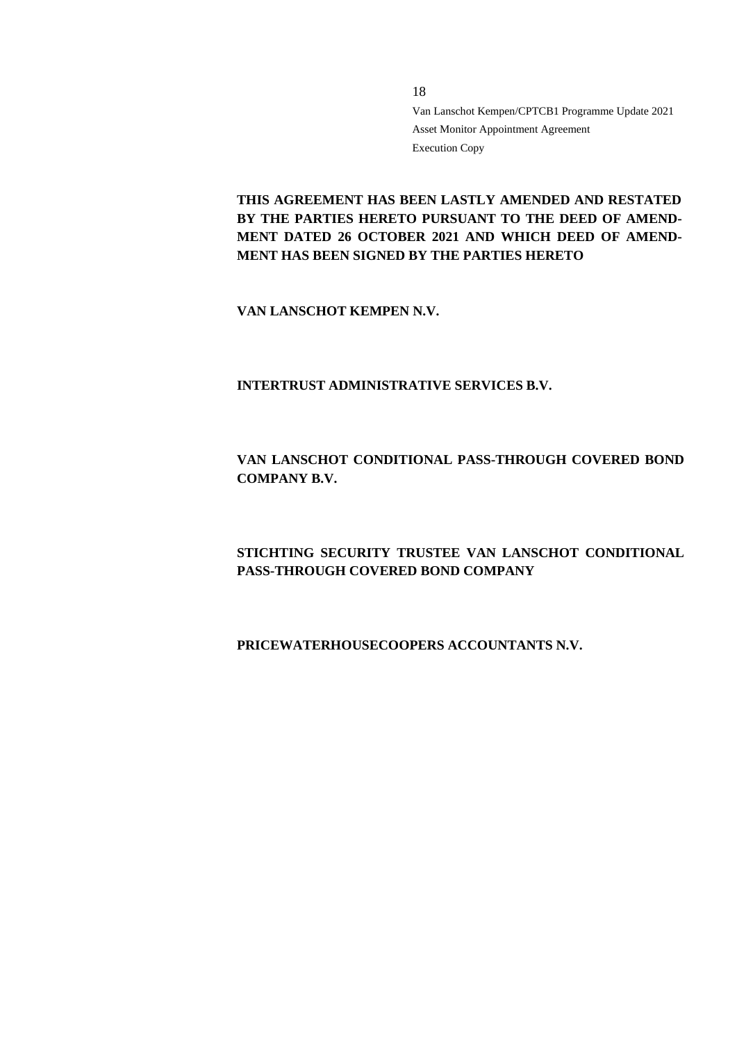**THIS AGREEMENT HAS BEEN LASTLY AMENDED AND RESTATED BY THE PARTIES HERETO PURSUANT TO THE DEED OF AMEND-MENT DATED 26 OCTOBER 2021 AND WHICH DEED OF AMEND-MENT HAS BEEN SIGNED BY THE PARTIES HERETO**

**VAN LANSCHOT KEMPEN N.V.**

**INTERTRUST ADMINISTRATIVE SERVICES B.V.**

# **VAN LANSCHOT CONDITIONAL PASS-THROUGH COVERED BOND COMPANY B.V.**

# **STICHTING SECURITY TRUSTEE VAN LANSCHOT CONDITIONAL PASS-THROUGH COVERED BOND COMPANY**

# **PRICEWATERHOUSECOOPERS ACCOUNTANTS N.V.**